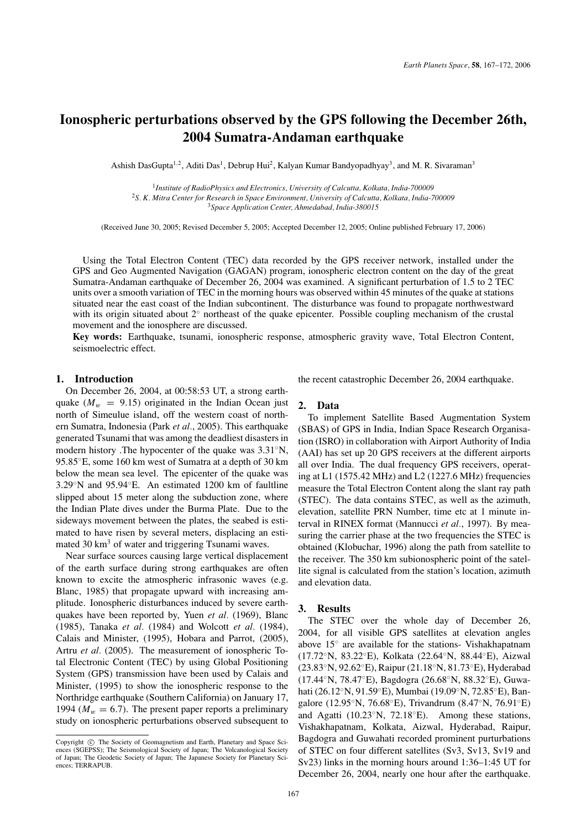# **Ionospheric perturbations observed by the GPS following the December 26th, 2004 Sumatra-Andaman earthquake**

Ashish DasGupta<sup>1,2</sup>, Aditi Das<sup>1</sup>, Debrup Hui<sup>2</sup>, Kalyan Kumar Bandyopadhyay<sup>3</sup>, and M. R. Sivaraman<sup>3</sup>

<sup>1</sup>*Institute of RadioPhysics and Electronics, University of Calcutta, Kolkata, India-700009* <sup>2</sup>*S. K. Mitra Center for Research in Space Environment, University of Calcutta, Kolkata, India-700009* <sup>3</sup>*Space Application Center, Ahmedabad, India-380015*

(Received June 30, 2005; Revised December 5, 2005; Accepted December 12, 2005; Online published February 17, 2006)

Using the Total Electron Content (TEC) data recorded by the GPS receiver network, installed under the GPS and Geo Augmented Navigation (GAGAN) program, ionospheric electron content on the day of the great Sumatra-Andaman earthquake of December 26, 2004 was examined. A significant perturbation of 1.5 to 2 TEC units over a smooth variation of TEC in the morning hours was observed within 45 minutes of the quake at stations situated near the east coast of the Indian subcontinent. The disturbance was found to propagate northwestward with its origin situated about 2◦ northeast of the quake epicenter. Possible coupling mechanism of the crustal movement and the ionosphere are discussed.

**Key words:** Earthquake, tsunami, ionospheric response, atmospheric gravity wave, Total Electron Content, seismoelectric effect.

## **1. Introduction**

On December 26, 2004, at 00:58:53 UT, a strong earthquake  $(M_w = 9.15)$  originated in the Indian Ocean just north of Simeulue island, off the western coast of northern Sumatra, Indonesia (Park *et al.*, 2005). This earthquake generated Tsunami that was among the deadliest disasters in modern history .The hypocenter of the quake was 3.31◦N, 95.85◦E, some 160 km west of Sumatra at a depth of 30 km below the mean sea level. The epicenter of the quake was 3.29◦N and 95.94◦E. An estimated 1200 km of faultline slipped about 15 meter along the subduction zone, where the Indian Plate dives under the Burma Plate. Due to the sideways movement between the plates, the seabed is estimated to have risen by several meters, displacing an estimated  $30 \text{ km}^3$  of water and triggering Tsunami waves.

Near surface sources causing large vertical displacement of the earth surface during strong earthquakes are often known to excite the atmospheric infrasonic waves (e.g. Blanc, 1985) that propagate upward with increasing amplitude. Ionospheric disturbances induced by severe earthquakes have been reported by, Yuen *et al.* (1969), Blanc (1985), Tanaka *et al.* (1984) and Wolcott *et al.* (1984), Calais and Minister, (1995), Hobara and Parrot, (2005), Artru *et al.* (2005). The measurement of ionospheric Total Electronic Content (TEC) by using Global Positioning System (GPS) transmission have been used by Calais and Minister, (1995) to show the ionospheric response to the Northridge earthquake (Southern California) on January 17, 1994 ( $M_w = 6.7$ ). The present paper reports a preliminary study on ionospheric perturbations observed subsequent to

167

the recent catastrophic December 26, 2004 earthquake.

## **2. Data**

To implement Satellite Based Augmentation System (SBAS) of GPS in India, Indian Space Research Organisation (ISRO) in collaboration with Airport Authority of India (AAI) has set up 20 GPS receivers at the different airports all over India. The dual frequency GPS receivers, operating at L1 (1575.42 MHz) and L2 (1227.6 MHz) frequencies measure the Total Electron Content along the slant ray path (STEC). The data contains STEC, as well as the azimuth, elevation, satellite PRN Number, time etc at 1 minute interval in RINEX format (Mannucci *et al.*, 1997). By measuring the carrier phase at the two frequencies the STEC is obtained (Klobuchar, 1996) along the path from satellite to the receiver. The 350 km subionospheric point of the satellite signal is calculated from the station's location, azimuth and elevation data.

## **3. Results**

The STEC over the whole day of December 26, 2004, for all visible GPS satellites at elevation angles above 15◦ are available for the stations- Vishakhapatnam (17.72◦N, 83.22◦E), Kolkata (22.64◦N, 88.44◦E), Aizwal (23.83◦N, 92.62◦E), Raipur (21.18◦N, 81.73◦E), Hyderabad (17.44◦N, 78.47◦E), Bagdogra (26.68◦N, 88.32◦E), Guwahati (26.12◦N, 91.59◦E), Mumbai (19.09◦N, 72.85◦E), Bangalore (12.95◦N, 76.68◦E), Trivandrum (8.47◦N, 76.91◦E) and Agatti (10.23◦N, 72.18◦E). Among these stations, Vishakhapatnam, Kolkata, Aizwal, Hyderabad, Raipur, Bagdogra and Guwahati recorded prominent purturbations of STEC on four different satellites (Sv3, Sv13, Sv19 and Sv23) links in the morning hours around 1:36–1:45 UT for December 26, 2004, nearly one hour after the earthquake.

Copyright  $\odot$  The Society of Geomagnetism and Earth, Planetary and Space Sciences (SGEPSS); The Seismological Society of Japan; The Volcanological Society of Japan; The Geodetic Society of Japan; The Japanese Society for Planetary Sciences; TERRAPUB.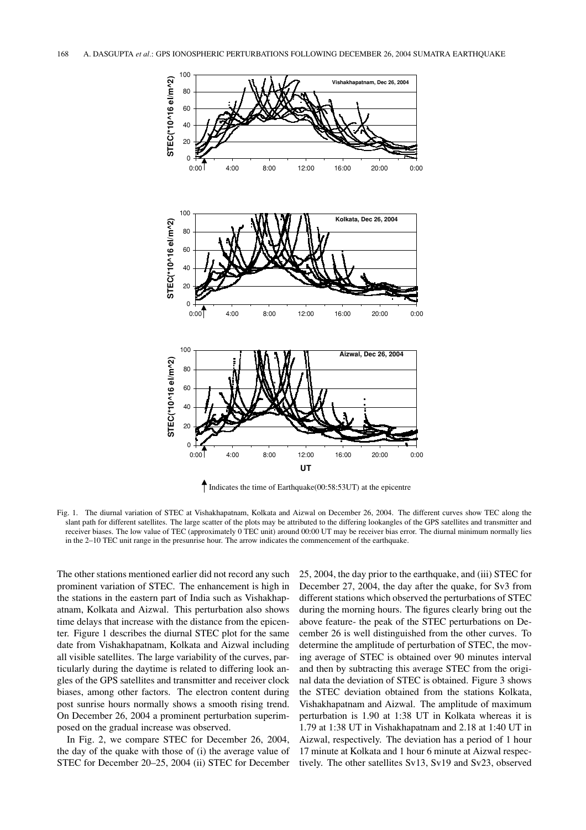

 $\uparrow$  Indicates the time of Earthquake(00:58:53UT) at the epicentre

Fig. 1. The diurnal variation of STEC at Vishakhapatnam, Kolkata and Aizwal on December 26, 2004. The different curves show TEC along the slant path for different satellites. The large scatter of the plots may be attributed to the differing lookangles of the GPS satellites and transmitter and receiver biases. The low value of TEC (approximately 0 TEC unit) around 00:00 UT may be receiver bias error. The diurnal minimum normally lies in the 2–10 TEC unit range in the presunrise hour. The arrow indicates the commencement of the earthquake.

The other stations mentioned earlier did not record any such prominent variation of STEC. The enhancement is high in the stations in the eastern part of India such as Vishakhapatnam, Kolkata and Aizwal. This perturbation also shows time delays that increase with the distance from the epicenter. Figure 1 describes the diurnal STEC plot for the same date from Vishakhapatnam, Kolkata and Aizwal including all visible satellites. The large variability of the curves, particularly during the daytime is related to differing look angles of the GPS satellites and transmitter and receiver clock biases, among other factors. The electron content during post sunrise hours normally shows a smooth rising trend. On December 26, 2004 a prominent perturbation superimposed on the gradual increase was observed.

In Fig. 2, we compare STEC for December 26, 2004, the day of the quake with those of (i) the average value of STEC for December 20–25, 2004 (ii) STEC for December 25, 2004, the day prior to the earthquake, and (iii) STEC for December 27, 2004, the day after the quake, for Sv3 from different stations which observed the perturbations of STEC during the morning hours. The figures clearly bring out the above feature- the peak of the STEC perturbations on December 26 is well distinguished from the other curves. To determine the amplitude of perturbation of STEC, the moving average of STEC is obtained over 90 minutes interval and then by subtracting this average STEC from the original data the deviation of STEC is obtained. Figure 3 shows the STEC deviation obtained from the stations Kolkata, Vishakhapatnam and Aizwal. The amplitude of maximum perturbation is 1.90 at 1:38 UT in Kolkata whereas it is 1.79 at 1:38 UT in Vishakhapatnam and 2.18 at 1:40 UT in Aizwal, respectively. The deviation has a period of 1 hour 17 minute at Kolkata and 1 hour 6 minute at Aizwal respectively. The other satellites Sv13, Sv19 and Sv23, observed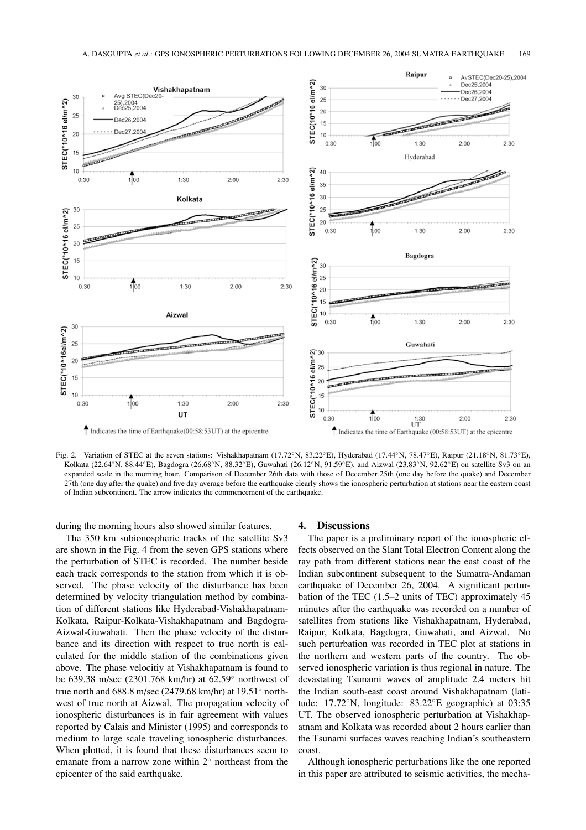

Fig. 2. Variation of STEC at the seven stations: Vishakhapatnam (17.72◦N, 83.22◦E), Hyderabad (17.44◦N, 78.47◦E), Raipur (21.18◦N, 81.73◦E), Kolkata (22.64◦N, 88.44◦E), Bagdogra (26.68◦N, 88.32◦E), Guwahati (26.12◦N, 91.59◦E), and Aizwal (23.83◦N, 92.62◦E) on satellite Sv3 on an expanded scale in the morning hour. Comparison of December 26th data with those of December 25th (one day before the quake) and December 27th (one day after the quake) and five day average before the earthquake clearly shows the ionospheric perturbation at stations near the eastern coast of Indian subcontinent. The arrow indicates the commencement of the earthquake.

during the morning hours also showed similar features.

The 350 km subionospheric tracks of the satellite Sv3 are shown in the Fig. 4 from the seven GPS stations where the perturbation of STEC is recorded. The number beside each track corresponds to the station from which it is observed. The phase velocity of the disturbance has been determined by velocity triangulation method by combination of different stations like Hyderabad-Vishakhapatnam-Kolkata, Raipur-Kolkata-Vishakhapatnam and Bagdogra-Aizwal-Guwahati. Then the phase velocity of the disturbance and its direction with respect to true north is calculated for the middle station of the combinations given above. The phase velocitiy at Vishakhapatnam is found to be 639.38 m/sec (2301.768 km/hr) at 62.59◦ northwest of true north and 688.8 m/sec (2479.68 km/hr) at 19.51◦ northwest of true north at Aizwal. The propagation velocity of ionospheric disturbances is in fair agreement with values reported by Calais and Minister (1995) and corresponds to medium to large scale traveling ionospheric disturbances. When plotted, it is found that these disturbances seem to emanate from a narrow zone within 2◦ northeast from the epicenter of the said earthquake.

### **4. Discussions**

The paper is a preliminary report of the ionospheric effects observed on the Slant Total Electron Content along the ray path from different stations near the east coast of the Indian subcontinent subsequent to the Sumatra-Andaman earthquake of December 26, 2004. A significant perturbation of the TEC (1.5–2 units of TEC) approximately 45 minutes after the earthquake was recorded on a number of satellites from stations like Vishakhapatnam, Hyderabad, Raipur, Kolkata, Bagdogra, Guwahati, and Aizwal. No such perturbation was recorded in TEC plot at stations in the northern and western parts of the country. The observed ionospheric variation is thus regional in nature. The devastating Tsunami waves of amplitude 2.4 meters hit the Indian south-east coast around Vishakhapatnam (latitude: 17.72◦N, longitude: 83.22◦E geographic) at 03:35 UT. The observed ionospheric perturbation at Vishakhapatnam and Kolkata was recorded about 2 hours earlier than the Tsunami surfaces waves reaching Indian's southeastern coast.

Although ionospheric perturbations like the one reported in this paper are attributed to seismic activities, the mecha-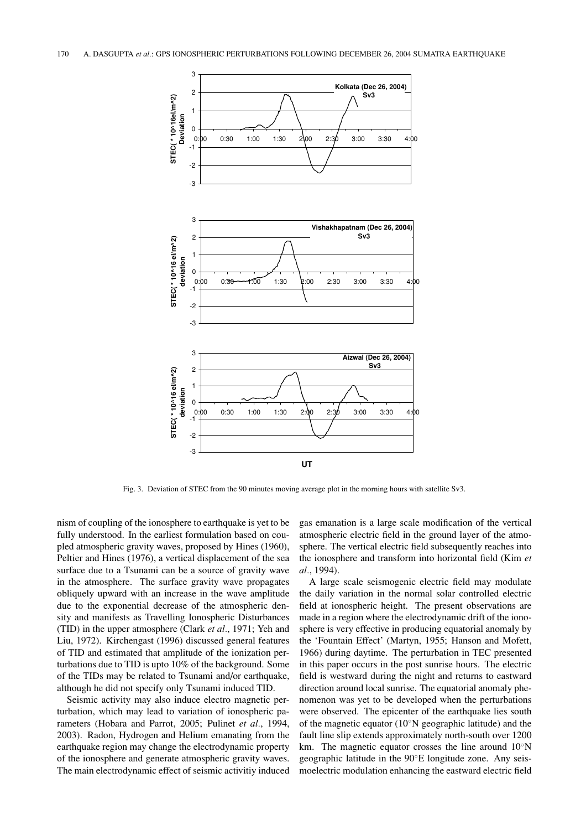

Fig. 3. Deviation of STEC from the 90 minutes moving average plot in the morning hours with satellite Sv3.

nism of coupling of the ionosphere to earthquake is yet to be fully understood. In the earliest formulation based on coupled atmospheric gravity waves, proposed by Hines (1960), Peltier and Hines (1976), a vertical displacement of the sea surface due to a Tsunami can be a source of gravity wave in the atmosphere. The surface gravity wave propagates obliquely upward with an increase in the wave amplitude due to the exponential decrease of the atmospheric density and manifests as Travelling Ionospheric Disturbances (TID) in the upper atmosphere (Clark *et al.*, 1971; Yeh and Liu, 1972). Kirchengast (1996) discussed general features of TID and estimated that amplitude of the ionization perturbations due to TID is upto 10% of the background. Some of the TIDs may be related to Tsunami and/or earthquake, although he did not specify only Tsunami induced TID.

Seismic activity may also induce electro magnetic perturbation, which may lead to variation of ionospheric parameters (Hobara and Parrot, 2005; Pulinet *et al.*, 1994, 2003). Radon, Hydrogen and Helium emanating from the earthquake region may change the electrodynamic property of the ionosphere and generate atmospheric gravity waves. The main electrodynamic effect of seismic activitiy induced

gas emanation is a large scale modification of the vertical atmospheric electric field in the ground layer of the atmosphere. The vertical electric field subsequently reaches into the ionosphere and transform into horizontal field (Kim *et al.*, 1994).

A large scale seismogenic electric field may modulate the daily variation in the normal solar controlled electric field at ionospheric height. The present observations are made in a region where the electrodynamic drift of the ionosphere is very effective in producing equatorial anomaly by the 'Fountain Effect' (Martyn, 1955; Hanson and Mofett, 1966) during daytime. The perturbation in TEC presented in this paper occurs in the post sunrise hours. The electric field is westward during the night and returns to eastward direction around local sunrise. The equatorial anomaly phenomenon was yet to be developed when the perturbations were observed. The epicenter of the earthquake lies south of the magnetic equator (10◦N geographic latitude) and the fault line slip extends approximately north-south over 1200 km. The magnetic equator crosses the line around  $10°N$ geographic latitude in the 90◦E longitude zone. Any seismoelectric modulation enhancing the eastward electric field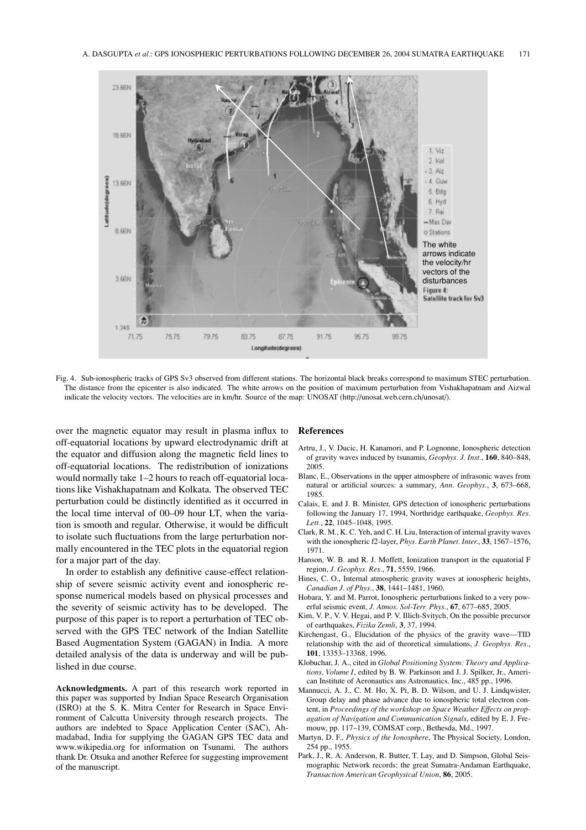

Fig. 4. Sub-ionospheric tracks of GPS Sv3 observed from different stations. The horizontal black breaks correspond to maximum STEC perturbation. The distance from the epicenter is also indicated. The white arrows on the position of maximum perturbation from Vishakhapatnam and Aizwal indicate the velocity vectors. The velocities are in km/hr. Source of the map: UNOSAT (http://unosat.web.cern.ch/unosat/).

over the magnetic equator may result in plasma influx to off-equatorial locations by upward electrodynamic drift at the equator and diffusion along the magnetic field lines to off-equatorial locations. The redistribution of ionizations would normally take 1–2 hours to reach off-equatorial locations like Vishakhapatnam and Kolkata. The observed TEC perturbation could be distinctly identified as it occurred in the local time interval of 00–09 hour LT, when the variation is smooth and regular. Otherwise, it would be difficult to isolate such fluctuations from the large perturbation normally encountered in the TEC plots in the equatorial region for a major part of the day.

In order to establish any definitive cause-effect relationship of severe seismic activity event and ionospheric response numerical models based on physical processes and the severity of seismic activity has to be developed. The purpose of this paper is to report a perturbation of TEC observed with the GPS TEC network of the Indian Satellite Based Augmentation System (GAGAN) in India. A more detailed analysis of the data is underway and will be published in due course.

**Acknowledgments.** A part of this research work reported in this paper was supported by Indian Space Research Organisation (ISRO) at the S. K. Mitra Center for Research in Space Environment of Calcutta University through research projects. The authors are indebted to Space Application Center (SAC), Ahmadabad, India for supplying the GAGAN GPS TEC data and www.wikipedia.org for information on Tsunami. The authors thank Dr. Otsuka and another Referee for suggesting improvement of the manuscript.

#### **References**

- Artru, J., V. Ducic, H. Kanamori, and P. Lognonne, Ionospheric detection of gravity waves induced by tsunamis, *Geophys. J. Inst.*, **160**, 840–848, 2005.
- Blanc, E., Observations in the upper atmosphere of infrasonic waves from natural or artificial sources: a summary, *Ann. Geophys.*, **3**, 673–668, 1985.
- Calais, E. and J. B. Minister, GPS detection of ionospheric perturbations following the January 17, 1994, Northridge earthquake, *Geophys. Res. Lett.*, **22**, 1045–1048, 1995.
- Clark, R. M., K. C. Yeh, and C. H. Liu, Interaction of internal gravity waves with the ionospheric f2-layer, *Phys. Earth Planet. Inter.*, **33**, 1567–1576, 1971.
- Hanson, W. B. and R. J. Moffett, Ionization transport in the equatorial F region, *J. Geophys. Res.*, **71**, 5559, 1966.
- Hines, C. O., Internal atmospheric gravity waves at ionospheric heights, *Canadian J. of Phys.*, **38**, 1441–1481, 1960.
- Hobara, Y. and M. Parrot, Ionospheric perturbations linked to a very powerful seismic event, *J. Atmos. Sol-Terr. Phys.*, **67**, 677–685, 2005.
- Kim, V. P., V. V. Hegai, and P. V. Illich-Svitych, On the possible precursor of earthquakes, *Fizika Zemli*, **3**, 37, 1994.
- Kirchengast, G., Elucidation of the physics of the gravity wave—TID relationship with the aid of theoretical simulations, *J. Geophys. Res.*, **101**, 13353–13368, 1996.
- Klobuchar, J. A., cited in *Global Positioning System: Theory and Applications, Volume I*, edited by B. W. Parkinson and J. J. Spilker, Jr., American Institute of Aeronautics ans Astronautics. Inc., 485 pp., 1996.
- Mannucci, A. J., C. M. Ho, X. Pi, B. D. Wilson, and U. J. Lindqwister, Group delay and phase advance due to ionospheric total electron content, in *Proceedings of the workshop on Space Weather Effects on propagation of Navigation and Communication Signals*, edited by E. J. Fremouw, pp. 117–139, COMSAT corp., Bethesda, Md., 1997.
- Martyn, D. F., *Physics of the Ionosphere*, The Physical Society, London, 254 pp., 1955.
- Park, J., R. A. Anderson, R. Butter, T. Lay, and D. Simpson, Global Seismographic Network records: the great Sumatra-Andaman Earthquake, *Transaction American Geophysical Union*, **86**, 2005.